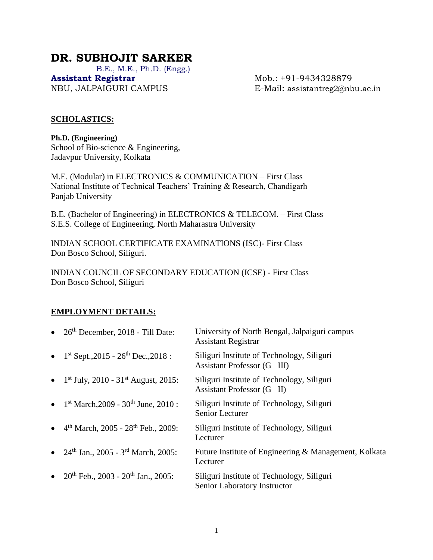# **DR. SUBHOJIT SARKER**

B.E., M.E., Ph.D. (Engg.)

**Assistant Registrar** Mob.: +91-9434328879 NBU, JALPAIGURI CAMPUS E-Mail: [assistantreg2@nbu.ac.in](mailto:assistantreg2@nbu.ac.in)

### **SCHOLASTICS:**

**Ph.D. (Engineering)** School of Bio-science & Engineering, Jadavpur University, Kolkata

M.E. (Modular) in ELECTRONICS & COMMUNICATION – First Class National Institute of Technical Teachers' Training & Research, Chandigarh Panjab University

B.E. (Bachelor of Engineering) in ELECTRONICS & TELECOM. – First Class S.E.S. College of Engineering, North Maharastra University

INDIAN SCHOOL CERTIFICATE EXAMINATIONS (ISC)- First Class Don Bosco School, Siliguri.

INDIAN COUNCIL OF SECONDARY EDUCATION (ICSE) - First Class Don Bosco School, Siliguri

## **EMPLOYMENT DETAILS:**

| $\bullet$ | 26 <sup>th</sup> December, 2018 - Till Date:                  | University of North Bengal, Jalpaiguri campus<br><b>Assistant Registrar</b> |
|-----------|---------------------------------------------------------------|-----------------------------------------------------------------------------|
|           | • $1^{st}$ Sept., 2015 - 26 <sup>th</sup> Dec., 2018 :        | Siliguri Institute of Technology, Siliguri<br>Assistant Professor (G-III)   |
|           | • $1^{\text{st}}$ July, 2010 - 31 <sup>st</sup> August, 2015: | Siliguri Institute of Technology, Siliguri<br>Assistant Professor $(G-II)$  |
|           | • $1st March, 2009 - 30th June, 2010$ :                       | Siliguri Institute of Technology, Siliguri<br><b>Senior Lecturer</b>        |
|           | • $4^{th}$ March, 2005 - 28 <sup>th</sup> Feb., 2009:         | Siliguri Institute of Technology, Siliguri<br>Lecturer                      |
|           | • $24th$ Jan., 2005 - 3 <sup>rd</sup> March, 2005:            | Future Institute of Engineering & Management, Kolkata<br>Lecturer           |
|           | • $20^{th}$ Feb., $2003 - 20^{th}$ Jan., $2005$ :             | Siliguri Institute of Technology, Siliguri<br>Senior Laboratory Instructor  |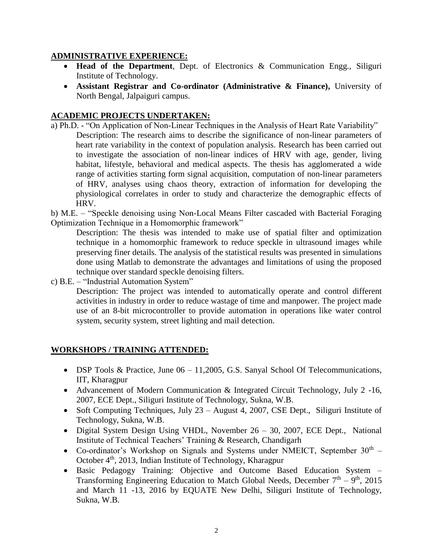### **ADMINISTRATIVE EXPERIENCE:**

- **Head of the Department**, Dept. of Electronics & Communication Engg., Siliguri Institute of Technology.
- **Assistant Registrar and Co-ordinator (Administrative & Finance),** University of North Bengal, Jalpaiguri campus.

### **ACADEMIC PROJECTS UNDERTAKEN:**

a) Ph.D. - "On Application of Non-Linear Techniques in the Analysis of Heart Rate Variability" Description: The research aims to describe the significance of non-linear parameters of heart rate variability in the context of population analysis. Research has been carried out to investigate the association of non-linear indices of HRV with age, gender, living habitat, lifestyle, behavioral and medical aspects. The thesis has agglomerated a wide range of activities starting form signal acquisition, computation of non-linear parameters of HRV, analyses using chaos theory, extraction of information for developing the physiological correlates in order to study and characterize the demographic effects of HRV.

b) M.E. – "Speckle denoising using Non-Local Means Filter cascaded with Bacterial Foraging Optimization Technique in a Homomorphic framework"

Description: The thesis was intended to make use of spatial filter and optimization technique in a homomorphic framework to reduce speckle in ultrasound images while preserving finer details. The analysis of the statistical results was presented in simulations done using Matlab to demonstrate the advantages and limitations of using the proposed technique over standard speckle denoising filters.

c) B.E. – "Industrial Automation System"

Description: The project was intended to automatically operate and control different activities in industry in order to reduce wastage of time and manpower. The project made use of an 8-bit microcontroller to provide automation in operations like water control system, security system, street lighting and mail detection.

## **WORKSHOPS / TRAINING ATTENDED:**

- DSP Tools & Practice, June  $06 11,2005$ , G.S. Sanyal School Of Telecommunications, IIT, Kharagpur
- Advancement of Modern Communication & Integrated Circuit Technology, July 2 -16, 2007, ECE Dept., Siliguri Institute of Technology, Sukna, W.B.
- Soft Computing Techniques, July 23 August 4, 2007, CSE Dept., Siliguri Institute of Technology, Sukna, W.B.
- Digital System Design Using VHDL, November 26 30, 2007, ECE Dept., National Institute of Technical Teachers' Training & Research, Chandigarh
- Co-ordinator's Workshop on Signals and Systems under NMEICT, September  $30<sup>th</sup>$  -October 4<sup>th</sup>, 2013, Indian Institute of Technology, Kharagpur
- Basic Pedagogy Training: Objective and Outcome Based Education System Transforming Engineering Education to Match Global Needs, December  $7<sup>th</sup> - 9<sup>th</sup>$ , 2015 and March 11 -13, 2016 by EQUATE New Delhi, Siliguri Institute of Technology, Sukna, W.B.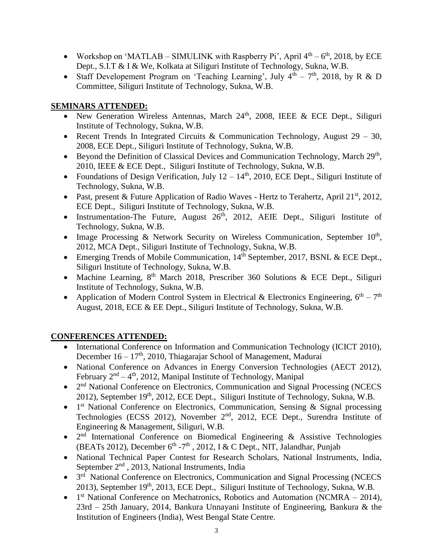- Workshop on 'MATLAB SIMULINK with Raspberry Pi', April  $4<sup>th</sup> 6<sup>th</sup>$ , 2018, by ECE Dept., S.I.T & I & We, Kolkata at Siliguri Institute of Technology, Sukna, W.B.
- Staff Developement Program on 'Teaching Learning', July  $4<sup>th</sup> 7<sup>th</sup>$ , 2018, by R & D Committee, Siliguri Institute of Technology, Sukna, W.B.

# **SEMINARS ATTENDED:**

- New Generation Wireless Antennas, March  $24<sup>th</sup>$ ,  $2008$ , IEEE & ECE Dept., Siliguri Institute of Technology, Sukna, W.B.
- Recent Trends In Integrated Circuits & Communication Technology, August  $29 30$ , 2008, ECE Dept., Siliguri Institute of Technology, Sukna, W.B.
- Beyond the Definition of Classical Devices and Communication Technology, March 29<sup>th</sup>, 2010, IEEE & ECE Dept., Siliguri Institute of Technology, Sukna, W.B.
- Foundations of Design Verification, July  $12 14<sup>th</sup>$ , 2010, ECE Dept., Siliguri Institute of Technology, Sukna, W.B.
- Past, present & Future Application of Radio Waves Hertz to Terahertz, April  $21^{st}$ ,  $2012$ , ECE Dept., Siliguri Institute of Technology, Sukna, W.B.
- Instrumentation-The Future, August  $26<sup>th</sup>$ , 2012, AEIE Dept., Siliguri Institute of Technology, Sukna, W.B.
- Image Processing & Network Security on Wireless Communication, September  $10<sup>th</sup>$ , 2012, MCA Dept., Siliguri Institute of Technology, Sukna, W.B.
- Emerging Trends of Mobile Communication, 14<sup>th</sup> September, 2017, BSNL & ECE Dept., Siliguri Institute of Technology, Sukna, W.B.
- Machine Learning,  $8<sup>th</sup>$  March 2018, Prescriber 360 Solutions & ECE Dept., Siliguri Institute of Technology, Sukna, W.B.
- Application of Modern Control System in Electrical & Electronics Engineering,  $6<sup>th</sup> 7<sup>th</sup>$ August, 2018, ECE & EE Dept., Siliguri Institute of Technology, Sukna, W.B.

# **CONFERENCES ATTENDED:**

- International Conference on Information and Communication Technology (ICICT 2010), December  $16 - 17<sup>th</sup>$ , 2010, Thiagarajar School of Management, Madurai
- National Conference on Advances in Energy Conversion Technologies (AECT 2012), February  $2<sup>nd</sup> - 4<sup>th</sup>$ , 2012, Manipal Institute of Technology, Manipal
- 2<sup>nd</sup> National Conference on Electronics, Communication and Signal Processing (NCECS 2012), September 19<sup>th</sup>, 2012, ECE Dept., Siliguri Institute of Technology, Sukna, W.B.
- 1<sup>st</sup> National Conference on Electronics, Communication, Sensing & Signal processing Technologies (ECSS 2012), November 2nd, 2012, ECE Dept., Surendra Institute of Engineering & Management, Siliguri, W.B.
- $\bullet$  2<sup>nd</sup> International Conference on Biomedical Engineering & Assistive Technologies (BEATs 2012), December  $6<sup>th</sup> - 7<sup>th</sup>$ , 2012, I & C Dept., NIT, Jalandhar, Punjab
- National Technical Paper Contest for Research Scholars, National Instruments, India, September 2<sup>nd</sup>, 2013, National Instruments, India
- 3<sup>rd</sup> National Conference on Electronics, Communication and Signal Processing (NCECS 2013), September 19<sup>th</sup>, 2013, ECE Dept., Siliguri Institute of Technology, Sukna, W.B.
- $1<sup>st</sup> National Conference on Mechanics, Robotics and Automation (NCMRA 2014),$ 23rd – 25th January, 2014, Bankura Unnayani Institute of Engineering, Bankura & the Institution of Engineers (India), West Bengal State Centre.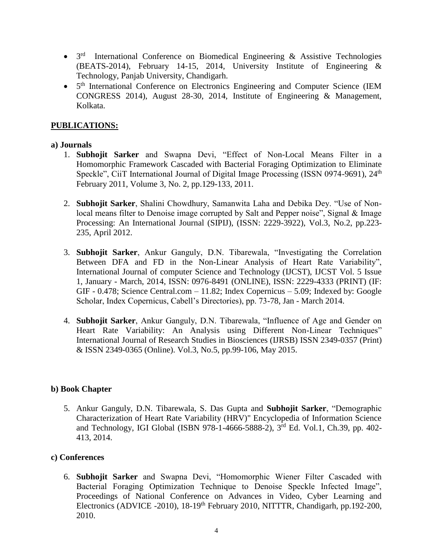- 3<sup>rd</sup> International Conference on Biomedical Engineering & Assistive Technologies (BEATS-2014), February 14-15, 2014, University Institute of Engineering & Technology, Panjab University, Chandigarh.
- 5<sup>th</sup> International Conference on Electronics Engineering and Computer Science (IEM CONGRESS 2014), August 28-30, 2014, Institute of Engineering & Management, Kolkata.

### **PUBLICATIONS:**

#### **a) Journals**

- 1. **Subhojit Sarker** and Swapna Devi, "Effect of Non-Local Means Filter in a Homomorphic Framework Cascaded with Bacterial Foraging Optimization to Eliminate Speckle", CiiT International Journal of Digital Image Processing (ISSN 0974-9691), 24<sup>th</sup> February 2011, Volume 3, No. 2, pp.129-133, 2011.
- 2. **Subhojit Sarker**, Shalini Chowdhury, Samanwita Laha and Debika Dey. "Use of Nonlocal means filter to Denoise image corrupted by Salt and Pepper noise", Signal & Image Processing: An International Journal (SIPIJ), (ISSN: 2229-3922), Vol.3, No.2, pp.223- 235, April 2012.
- 3. **Subhojit Sarker**, Ankur Ganguly, D.N. Tibarewala, "Investigating the Correlation Between DFA and FD in the Non-Linear Analysis of Heart Rate Variability", International Journal of computer Science and Technology (IJCST), IJCST Vol. 5 Issue 1, January - March, 2014, ISSN: 0976-8491 (ONLINE), ISSN: 2229-4333 (PRINT) (IF: GIF - 0.478; Science Central.com – 11.82; Index Copernicus – 5.09; Indexed by: Google Scholar, Index Copernicus, Cabell's Directories), pp. 73-78, Jan - March 2014.
- 4. **Subhojit Sarker**, Ankur Ganguly, D.N. Tibarewala, "Influence of Age and Gender on Heart Rate Variability: An Analysis using Different Non-Linear Techniques" International Journal of Research Studies in Biosciences (IJRSB) ISSN 2349-0357 (Print) & ISSN 2349-0365 (Online). Vol.3, No.5, pp.99-106, May 2015.

### **b) Book Chapter**

5. Ankur Ganguly, D.N. Tibarewala, S. Das Gupta and **Subhojit Sarker**, "Demographic Characterization of Heart Rate Variability (HRV)" Encyclopedia of Information Science and Technology, IGI Global (ISBN 978-1-4666-5888-2), 3rd Ed. Vol.1, Ch.39, pp. 402- 413, 2014.

#### **c) Conferences**

6. **Subhojit Sarker** and Swapna Devi, "Homomorphic Wiener Filter Cascaded with Bacterial Foraging Optimization Technique to Denoise Speckle Infected Image", Proceedings of National Conference on Advances in Video, Cyber Learning and Electronics (ADVICE -2010), 18-19<sup>th</sup> February 2010, NITTTR, Chandigarh, pp.192-200, 2010.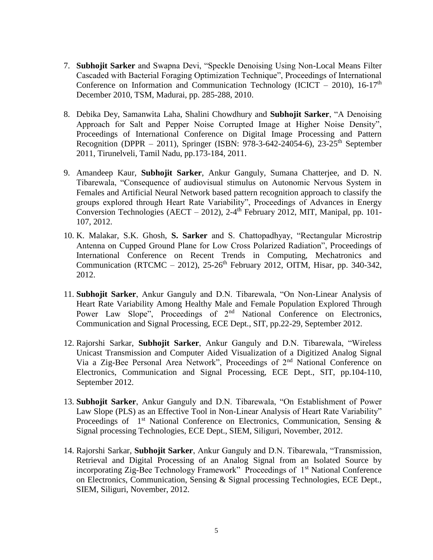- 7. **Subhojit Sarker** and Swapna Devi, "Speckle Denoising Using Non-Local Means Filter Cascaded with Bacterial Foraging Optimization Technique", Proceedings of International Conference on Information and Communication Technology (ICICT – 2010), 16-17<sup>th</sup> December 2010, TSM, Madurai, pp. 285-288, 2010.
- 8. Debika Dey, Samanwita Laha, Shalini Chowdhury and **Subhojit Sarker**, "A Denoising Approach for Salt and Pepper Noise Corrupted Image at Higher Noise Density", Proceedings of International Conference on Digital Image Processing and Pattern Recognition (DPPR – 2011), Springer (ISBN: 978-3-642-24054-6), 23-25<sup>th</sup> September 2011, Tirunelveli, Tamil Nadu, pp.173-184, 2011.
- 9. Amandeep Kaur, **Subhojit Sarker**, Ankur Ganguly, Sumana Chatterjee, and D. N. Tibarewala, "Consequence of audiovisual stimulus on Autonomic Nervous System in Females and Artificial Neural Network based pattern recognition approach to classify the groups explored through Heart Rate Variability", Proceedings of Advances in Energy Conversion Technologies (AECT – 2012), 2-4<sup>th</sup> February 2012, MIT, Manipal, pp. 101-107, 2012.
- 10. K. Malakar, S.K. Ghosh, **S. Sarker** and S. Chattopadhyay, "Rectangular Microstrip Antenna on Cupped Ground Plane for Low Cross Polarized Radiation", Proceedings of International Conference on Recent Trends in Computing, Mechatronics and Communication (RTCMC – 2012),  $25\text{-}26\text{th}$  February 2012, OITM, Hisar, pp. 340-342, 2012.
- 11. **Subhojit Sarker**, Ankur Ganguly and D.N. Tibarewala, "On Non-Linear Analysis of Heart Rate Variability Among Healthy Male and Female Population Explored Through Power Law Slope", Proceedings of 2<sup>nd</sup> National Conference on Electronics, Communication and Signal Processing, ECE Dept., SIT, pp.22-29, September 2012.
- 12. Rajorshi Sarkar, **Subhojit Sarker**, Ankur Ganguly and D.N. Tibarewala, "Wireless Unicast Transmission and Computer Aided Visualization of a Digitized Analog Signal Via a Zig-Bee Personal Area Network", Proceedings of 2nd National Conference on Electronics, Communication and Signal Processing, ECE Dept., SIT, pp.104-110, September 2012.
- 13. **Subhojit Sarker**, Ankur Ganguly and D.N. Tibarewala, "On Establishment of Power Law Slope (PLS) as an Effective Tool in Non-Linear Analysis of Heart Rate Variability" Proceedings of  $1<sup>st</sup>$  National Conference on Electronics, Communication, Sensing & Signal processing Technologies, ECE Dept., SIEM, Siliguri, November, 2012.
- 14. Rajorshi Sarkar, **Subhojit Sarker**, Ankur Ganguly and D.N. Tibarewala, "Transmission, Retrieval and Digital Processing of an Analog Signal from an Isolated Source by incorporating Zig-Bee Technology Framework" Proceedings of 1<sup>st</sup> National Conference on Electronics, Communication, Sensing & Signal processing Technologies, ECE Dept., SIEM, Siliguri, November, 2012.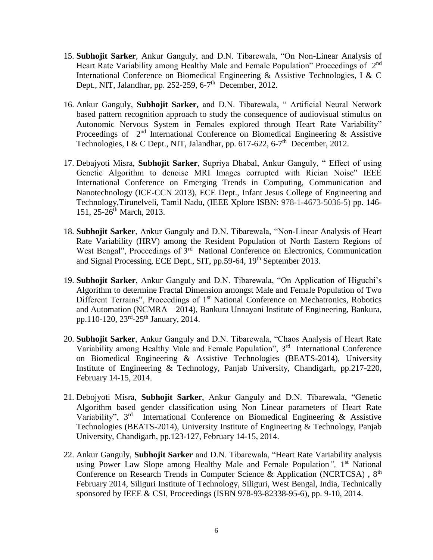- 15. **Subhojit Sarker**, Ankur Ganguly, and D.N. Tibarewala, "On Non-Linear Analysis of Heart Rate Variability among Healthy Male and Female Population" Proceedings of 2<sup>nd</sup> International Conference on Biomedical Engineering & Assistive Technologies, I & C Dept., NIT, Jalandhar, pp. 252-259, 6-7<sup>th</sup> December, 2012.
- 16. Ankur Ganguly, **Subhojit Sarker,** and D.N. Tibarewala, " Artificial Neural Network based pattern recognition approach to study the consequence of audiovisual stimulus on Autonomic Nervous System in Females explored through Heart Rate Variability" Proceedings of  $2<sup>nd</sup>$  International Conference on Biomedical Engineering & Assistive Technologies, I & C Dept., NIT, Jalandhar, pp. 617-622, 6-7<sup>th</sup> December, 2012.
- 17. Debajyoti Misra, **Subhojit Sarker**, Supriya Dhabal, Ankur Ganguly, " Effect of using Genetic Algorithm to denoise MRI Images corrupted with Rician Noise" IEEE International Conference on Emerging Trends in Computing, Communication and Nanotechnology (ICE-CCN 2013), ECE Dept., Infant Jesus College of Engineering and Technology,Tirunelveli, Tamil Nadu, (IEEE Xplore ISBN: 978-1-4673-5036-5) pp. 146- 151, 25-26<sup>th</sup> March, 2013.
- 18. **Subhojit Sarker**, Ankur Ganguly and D.N. Tibarewala, "Non-Linear Analysis of Heart Rate Variability (HRV) among the Resident Population of North Eastern Regions of West Bengal", Proceedings of 3<sup>rd</sup> National Conference on Electronics, Communication and Signal Processing, ECE Dept., SIT, pp.59-64, 19th September 2013.
- 19. **Subhojit Sarker**, Ankur Ganguly and D.N. Tibarewala, "On Application of Higuchi's Algorithm to determine Fractal Dimension amongst Male and Female Population of Two Different Terrains", Proceedings of 1<sup>st</sup> National Conference on Mechatronics, Robotics and Automation (NCMRA – 2014), Bankura Unnayani Institute of Engineering, Bankura, pp.110-120, 23<sup>rd</sup>-25<sup>th</sup> January, 2014.
- 20. **Subhojit Sarker**, Ankur Ganguly and D.N. Tibarewala, "Chaos Analysis of Heart Rate Variability among Healthy Male and Female Population", 3rd International Conference on Biomedical Engineering & Assistive Technologies (BEATS-2014), University Institute of Engineering & Technology, Panjab University, Chandigarh, pp.217-220, February 14-15, 2014.
- 21. Debojyoti Misra, **Subhojit Sarker**, Ankur Ganguly and D.N. Tibarewala, "Genetic Algorithm based gender classification using Non Linear parameters of Heart Rate Variability", 3<sup>rd</sup> International Conference on Biomedical Engineering & Assistive Technologies (BEATS-2014), University Institute of Engineering & Technology, Panjab University, Chandigarh, pp.123-127, February 14-15, 2014.
- 22. Ankur Ganguly, **Subhojit Sarker** and D.N. Tibarewala, "Heart Rate Variability analysis using Power Law Slope among Healthy Male and Female Population<sup>"</sup>, 1<sup>st</sup> National Conference on Research Trends in Computer Science & Application (NCRTCSA),  $8<sup>th</sup>$ February 2014, Siliguri Institute of Technology, Siliguri, West Bengal, India, Technically sponsored by IEEE & CSI, Proceedings (ISBN 978-93-82338-95-6), pp. 9-10, 2014.